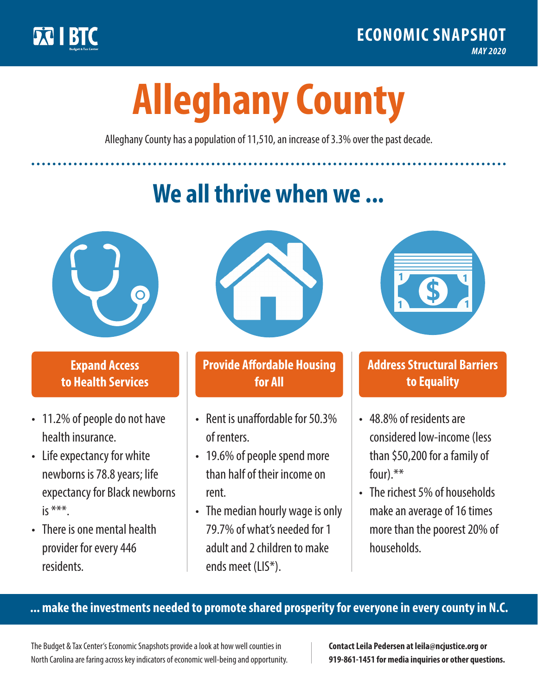

**1**

# **Alleghany County**

Alleghany County has a population of 11,510, an increase of 3.3% over the past decade.

# **We all thrive when we ...**



**\$ <sup>1</sup>**

**\$ <sup>1</sup>**

#### **Expand Access to Health Services**

- 11.2% of people do not have health insurance.
- Life expectancy for white newborns is 78.8years; life expectancy for Black newborns is  $***$
- There is one mental health provider for every 446 residents.



## **Provide Affordable Housing for All**

- Rent is unaffordable for 50.3% of renters.
- 19.6% of people spend more than half of their income on rent.
- The median hourly wage is only 79.7% of what's needed for 1 adult and 2 children to make ends meet (LIS\*).



## **Address Structural Barriers to Equality**

- 48.8% of residents are considered low-income (less than \$50,200 for a family of four) $.**$
- The richest 5% of households make an average of 16 times more than the poorest 20% of households.

#### **... make the investments needed to promote shared prosperity for everyone in every county in N.C.**

The Budget & Tax Center's Economic Snapshots provide a look at how well counties in North Carolina are faring across key indicators of economic well-being and opportunity.